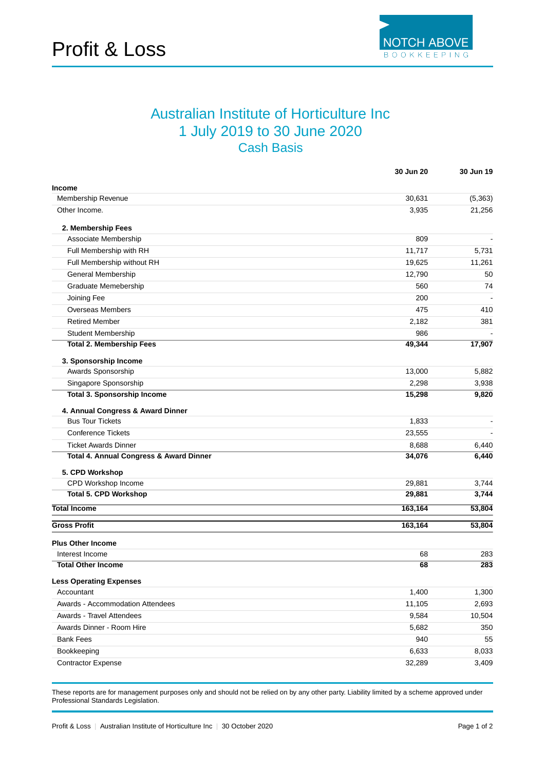

## Australian Institute of Horticulture Inc 1 July 2019 to 30 June 2020 Cash Basis

|                                         | 30 Jun 20 | 30 Jun 19 |
|-----------------------------------------|-----------|-----------|
| <b>Income</b>                           |           |           |
| Membership Revenue                      | 30,631    | (5, 363)  |
| Other Income.                           | 3,935     | 21,256    |
| 2. Membership Fees                      |           |           |
| Associate Membership                    | 809       |           |
| Full Membership with RH                 | 11,717    | 5,731     |
| Full Membership without RH              | 19,625    | 11,261    |
| General Membership                      | 12,790    | 50        |
| Graduate Memebership                    | 560       | 74        |
| Joining Fee                             | 200       |           |
| <b>Overseas Members</b>                 | 475       | 410       |
| <b>Retired Member</b>                   | 2,182     | 381       |
| <b>Student Membership</b>               | 986       |           |
| <b>Total 2. Membership Fees</b>         | 49,344    | 17,907    |
| 3. Sponsorship Income                   |           |           |
| Awards Sponsorship                      | 13,000    | 5,882     |
| Singapore Sponsorship                   | 2,298     | 3,938     |
| <b>Total 3. Sponsorship Income</b>      | 15,298    | 9,820     |
| 4. Annual Congress & Award Dinner       |           |           |
| <b>Bus Tour Tickets</b>                 | 1,833     |           |
| <b>Conference Tickets</b>               | 23,555    |           |
| <b>Ticket Awards Dinner</b>             | 8,688     | 6,440     |
| Total 4. Annual Congress & Award Dinner | 34,076    | 6,440     |
| 5. CPD Workshop                         |           |           |
| CPD Workshop Income                     | 29,881    | 3,744     |
| <b>Total 5. CPD Workshop</b>            | 29,881    | 3,744     |
| <b>Total Income</b>                     | 163,164   | 53,804    |
| <b>Gross Profit</b>                     | 163,164   | 53,804    |
| <b>Plus Other Income</b>                |           |           |
| Interest Income                         | 68        | 283       |
| <b>Total Other Income</b>               | 68        | 283       |
| <b>Less Operating Expenses</b>          |           |           |
| Accountant                              | 1,400     | 1,300     |
| Awards - Accommodation Attendees        | 11,105    | 2,693     |
| Awards - Travel Attendees               | 9,584     | 10,504    |
| Awards Dinner - Room Hire               | 5,682     | 350       |
| <b>Bank Fees</b>                        | 940       | 55        |
| Bookkeeping                             | 6,633     | 8,033     |
| <b>Contractor Expense</b>               | 32,289    | 3,409     |

These reports are for management purposes only and should not be relied on by any other party. Liability limited by a scheme approved under Professional Standards Legislation.